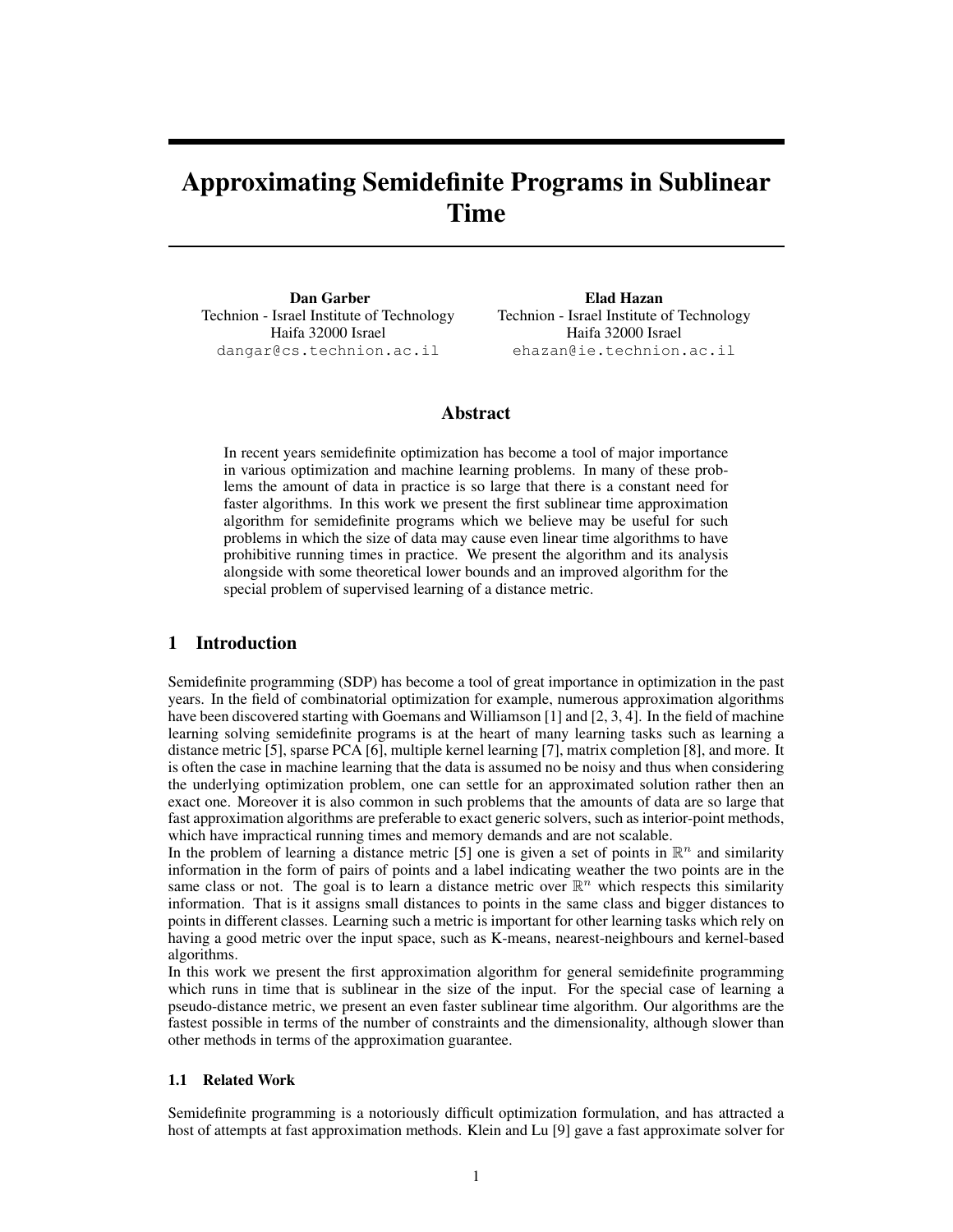# Approximating Semidefinite Programs in Sublinear Time

Dan Garber Technion - Israel Institute of Technology Haifa 32000 Israel dangar@cs.technion.ac.il

Elad Hazan Technion - Israel Institute of Technology Haifa 32000 Israel ehazan@ie.technion.ac.il

## Abstract

In recent years semidefinite optimization has become a tool of major importance in various optimization and machine learning problems. In many of these problems the amount of data in practice is so large that there is a constant need for faster algorithms. In this work we present the first sublinear time approximation algorithm for semidefinite programs which we believe may be useful for such problems in which the size of data may cause even linear time algorithms to have prohibitive running times in practice. We present the algorithm and its analysis alongside with some theoretical lower bounds and an improved algorithm for the special problem of supervised learning of a distance metric.

## 1 Introduction

Semidefinite programming (SDP) has become a tool of great importance in optimization in the past years. In the field of combinatorial optimization for example, numerous approximation algorithms have been discovered starting with Goemans and Williamson [1] and [2, 3, 4]. In the field of machine learning solving semidefinite programs is at the heart of many learning tasks such as learning a distance metric [5], sparse PCA [6], multiple kernel learning [7], matrix completion [8], and more. It is often the case in machine learning that the data is assumed no be noisy and thus when considering the underlying optimization problem, one can settle for an approximated solution rather then an exact one. Moreover it is also common in such problems that the amounts of data are so large that fast approximation algorithms are preferable to exact generic solvers, such as interior-point methods, which have impractical running times and memory demands and are not scalable.

In the problem of learning a distance metric [5] one is given a set of points in  $\mathbb{R}^n$  and similarity information in the form of pairs of points and a label indicating weather the two points are in the same class or not. The goal is to learn a distance metric over  $\mathbb{R}^n$  which respects this similarity information. That is it assigns small distances to points in the same class and bigger distances to points in different classes. Learning such a metric is important for other learning tasks which rely on having a good metric over the input space, such as K-means, nearest-neighbours and kernel-based algorithms.

In this work we present the first approximation algorithm for general semidefinite programming which runs in time that is sublinear in the size of the input. For the special case of learning a pseudo-distance metric, we present an even faster sublinear time algorithm. Our algorithms are the fastest possible in terms of the number of constraints and the dimensionality, although slower than other methods in terms of the approximation guarantee.

## 1.1 Related Work

Semidefinite programming is a notoriously difficult optimization formulation, and has attracted a host of attempts at fast approximation methods. Klein and Lu [9] gave a fast approximate solver for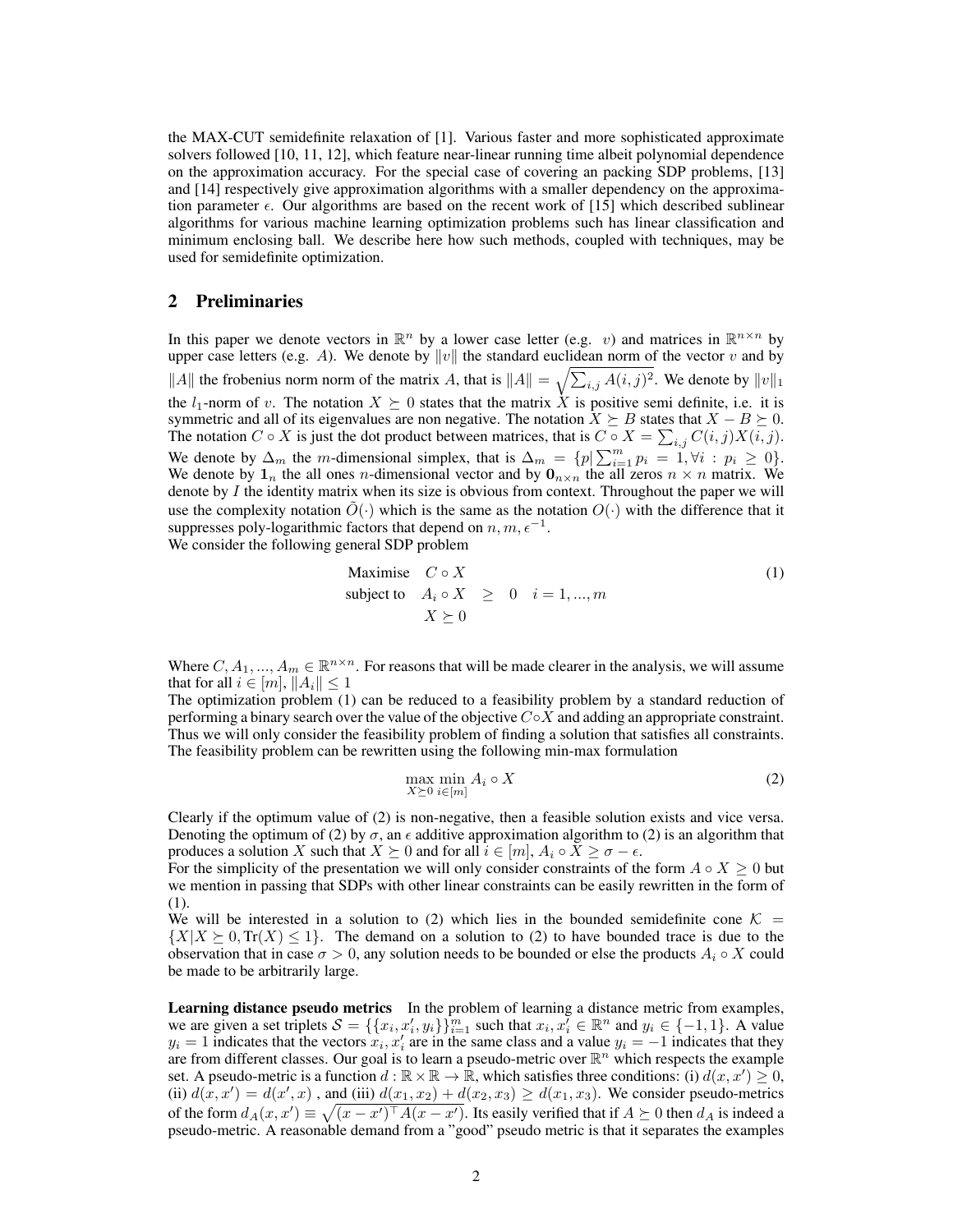the MAX-CUT semidefinite relaxation of [1]. Various faster and more sophisticated approximate solvers followed [10, 11, 12], which feature near-linear running time albeit polynomial dependence on the approximation accuracy. For the special case of covering an packing SDP problems, [13] and [14] respectively give approximation algorithms with a smaller dependency on the approximation parameter  $\epsilon$ . Our algorithms are based on the recent work of [15] which described sublinear algorithms for various machine learning optimization problems such has linear classification and minimum enclosing ball. We describe here how such methods, coupled with techniques, may be used for semidefinite optimization.

## 2 Preliminaries

In this paper we denote vectors in  $\mathbb{R}^n$  by a lower case letter (e.g. v) and matrices in  $\mathbb{R}^{n \times n}$  by upper case letters (e.g. A). We denote by  $||v||$  the standard euclidean norm of the vector v and by ||A|| the frobenius norm norm of the matrix A, that is  $||A|| = \sqrt{\sum_{i,j} A(i,j)^2}$ . We denote by  $||v||_1$ the  $l_1$ -norm of v. The notation  $X \succeq 0$  states that the matrix X is positive semi definite, i.e. it is symmetric and all of its eigenvalues are non negative. The notation  $\bar{X} \succeq B$  states that  $X - B \succeq 0$ . The notation  $C \circ X$  is just the dot product between matrices, that is  $C \circ X = \sum_{i,j} C(i,j)X(i,j)$ . We denote by  $\Delta_m$  the m-dimensional simplex, that is  $\Delta_m = \{p | \sum_{i=1}^m p_i = 1, \forall i : p_i \ge 0\}.$ We denote by  $\mathbf{1}_n$  the all ones *n*-dimensional vector and by  $\mathbf{0}_{n \times n}$  the all zeros  $n \times n$  matrix. We denote by  $I$  the identity matrix when its size is obvious from context. Throughout the paper we will use the complexity notation  $O(\cdot)$  which is the same as the notation  $O(\cdot)$  with the difference that it suppresses poly-logarithmic factors that depend on  $n, m, \epsilon^{-1}$ . We consider the following general SDP problem

Maximise 
$$
C \circ X
$$
  
\nsubject to  $A_i \circ X \ge 0$   $i = 1, ..., m$   
\n $X \succeq 0$  (1)

Where  $C, A_1, ..., A_m \in \mathbb{R}^{n \times n}$ . For reasons that will be made clearer in the analysis, we will assume that for all  $i \in [m], ||A_i|| \leq 1$ 

The optimization problem (1) can be reduced to a feasibility problem by a standard reduction of performing a binary search over the value of the objective  $C \circ X$  and adding an appropriate constraint. Thus we will only consider the feasibility problem of finding a solution that satisfies all constraints. The feasibility problem can be rewritten using the following min-max formulation

$$
\max_{X \succeq 0} \min_{i \in [m]} A_i \circ X \tag{2}
$$

Clearly if the optimum value of (2) is non-negative, then a feasible solution exists and vice versa. Denoting the optimum of (2) by  $\sigma$ , an  $\epsilon$  additive approximation algorithm to (2) is an algorithm that produces a solution X such that  $X \succeq 0$  and for all  $i \in [m], A_i \circ X \geq \sigma - \epsilon$ .

For the simplicity of the presentation we will only consider constraints of the form  $A \circ X \geq 0$  but we mention in passing that SDPs with other linear constraints can be easily rewritten in the form of (1).

We will be interested in a solution to (2) which lies in the bounded semidefinite cone  $K =$  $\{X|X \geq 0, \text{Tr}(X) \leq 1\}$ . The demand on a solution to (2) to have bounded trace is due to the observation that in case  $\sigma > 0$ , any solution needs to be bounded or else the products  $A_i \circ X$  could be made to be arbitrarily large.

Learning distance pseudo metrics In the problem of learning a distance metric from examples, we are given a set triplets  $S = \{\{x_i, x'_i, y_i\}\}_{i=1}^m$  such that  $x_i, x'_i \in \mathbb{R}^n$  and  $y_i \in \{-1, 1\}$ . A value  $y_i = 1$  indicates that the vectors  $x_i, x'_i$  are in the same class and a value  $y_i = -1$  indicates that they are from different classes. Our goal is to learn a pseudo-metric over  $\mathbb{R}^n$  which respects the example set. A pseudo-metric is a function  $d : \mathbb{R} \times \mathbb{R} \to \mathbb{R}$ , which satisfies three conditions: (i)  $d(x, x') \geq 0$ , (ii)  $d(x, x') = d(x', x)$ , and (iii)  $d(x_1, x_2) + d(x_2, x_3) \ge d(x_1, x_3)$ . We consider pseudo-metrics of the form  $d_A(x, x') \equiv \sqrt{(x-x')^\top A(x-x')}$ . Its easily verified that if  $A \succeq 0$  then  $d_A$  is indeed a pseudo-metric. A reasonable demand from a "good" pseudo metric is that it separates the examples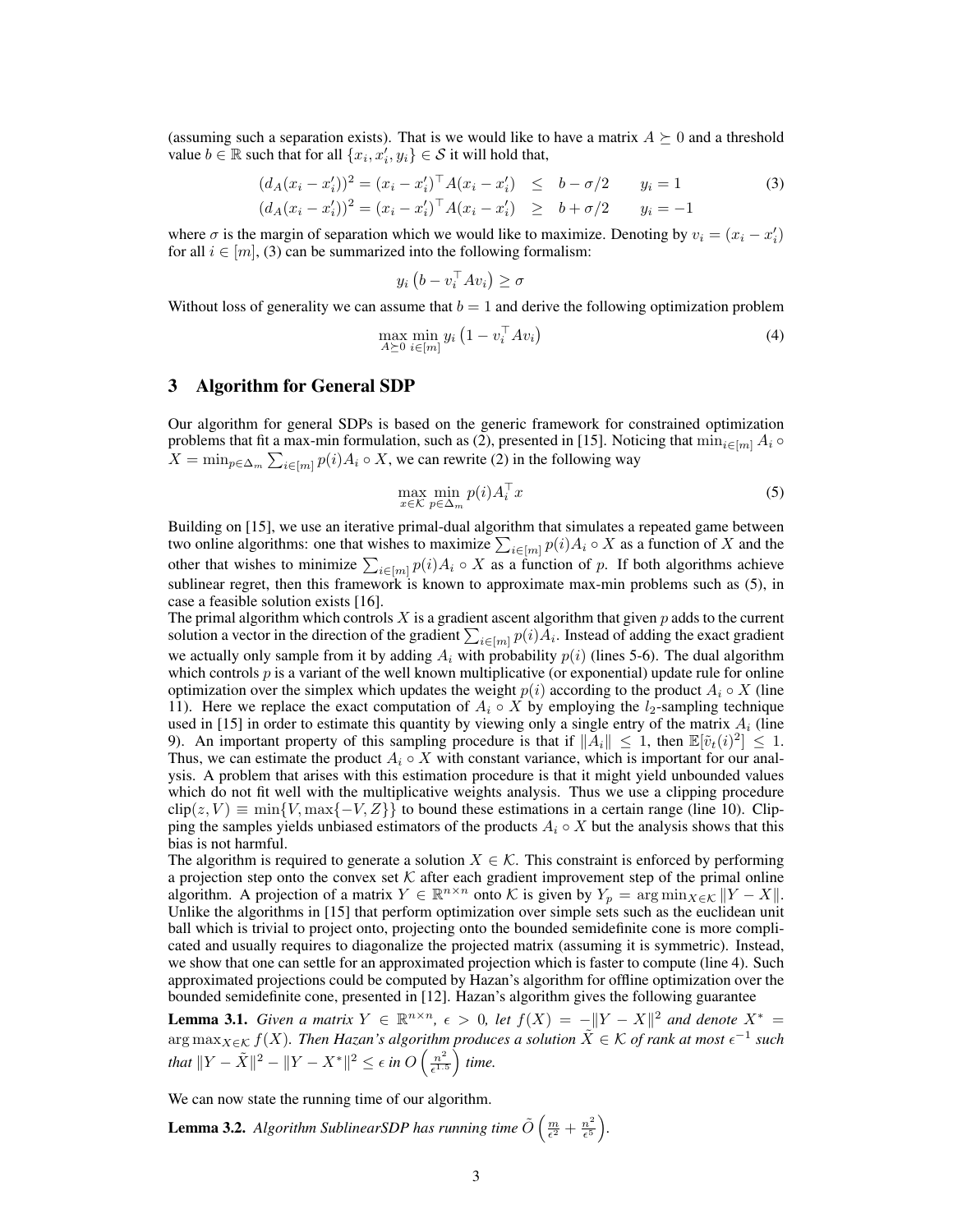(assuming such a separation exists). That is we would like to have a matrix  $A \succeq 0$  and a threshold value  $b \in \mathbb{R}$  such that for all  $\{x_i, x'_i, y_i\} \in \mathcal{S}$  it will hold that,

$$
(d_A(x_i - x'_i))^2 = (x_i - x'_i)^\top A (x_i - x'_i) \le b - \sigma/2 \qquad y_i = 1
$$
  
\n
$$
(d_A(x_i - x'_i))^2 = (x_i - x'_i)^\top A (x_i - x'_i) \ge b + \sigma/2 \qquad y_i = -1
$$
\n(3)

where  $\sigma$  is the margin of separation which we would like to maximize. Denoting by  $v_i = (x_i - x'_i)$ for all  $i \in [m]$ , (3) can be summarized into the following formalism:

$$
y_i\left(b - v_i^\top A v_i\right) \ge \sigma
$$

Without loss of generality we can assume that  $b = 1$  and derive the following optimization problem

$$
\max_{A \succeq 0} \min_{i \in [m]} y_i \left( 1 - v_i^{\top} A v_i \right) \tag{4}
$$

## 3 Algorithm for General SDP

Our algorithm for general SDPs is based on the generic framework for constrained optimization problems that fit a max-min formulation, such as (2), presented in [15]. Noticing that  $\min_{i \in [m]} A_i \circ$  $X = \min_{p \in \Delta_m} \sum_{i \in [m]} p(i) A_i \circ X$ , we can rewrite (2) in the following way

$$
\max_{x \in \mathcal{K}} \min_{p \in \Delta_m} p(i) A_i^\top x \tag{5}
$$

Building on [15], we use an iterative primal-dual algorithm that simulates a repeated game between two online algorithms: one that wishes to maximize  $\sum_{i \in [m]} p(i) A_i \circ X$  as a function of X and the other that wishes to minimize  $\sum_{i \in [m]} p(i) A_i \circ X$  as a function of p. If both algorithms achieve sublinear regret, then this framework is known to approximate max-min problems such as (5), in case a feasible solution exists [16].

The primal algorithm which controls X is a gradient ascent algorithm that given  $p$  adds to the current solution a vector in the direction of the gradient  $\sum_{i\in [m]} p(i)A_i$ . Instead of adding the exact gradient we actually only sample from it by adding  $A_i$  with probability  $p(i)$  (lines 5-6). The dual algorithm which controls  $p$  is a variant of the well known multiplicative (or exponential) update rule for online optimization over the simplex which updates the weight  $p(i)$  according to the product  $A_i \circ X$  (line 11). Here we replace the exact computation of  $A_i \circ X$  by employing the  $l_2$ -sampling technique used in [15] in order to estimate this quantity by viewing only a single entry of the matrix  $A_i$  (line 9). An important property of this sampling procedure is that if  $\|\vec{A}_i\| \leq 1$ , then  $\mathbb{E}[\tilde{v}_t(i)^2] \leq 1$ . Thus, we can estimate the product  $A_i \circ X$  with constant variance, which is important for our analysis. A problem that arises with this estimation procedure is that it might yield unbounded values which do not fit well with the multiplicative weights analysis. Thus we use a clipping procedure  $\text{clip}(z, V) \equiv \min\{V, \max\{-V, Z\}\}\$  to bound these estimations in a certain range (line 10). Clipping the samples yields unbiased estimators of the products  $A_i \circ X$  but the analysis shows that this bias is not harmful.

The algorithm is required to generate a solution  $X \in \mathcal{K}$ . This constraint is enforced by performing a projection step onto the convex set  $K$  after each gradient improvement step of the primal online algorithm. A projection of a matrix  $Y \in \mathbb{R}^{n \times n}$  onto K is given by  $Y_p = \arg \min_{X \in \mathcal{K}} \|Y - X\|$ . Unlike the algorithms in [15] that perform optimization over simple sets such as the euclidean unit ball which is trivial to project onto, projecting onto the bounded semidefinite cone is more complicated and usually requires to diagonalize the projected matrix (assuming it is symmetric). Instead, we show that one can settle for an approximated projection which is faster to compute (line 4). Such approximated projections could be computed by Hazan's algorithm for offline optimization over the bounded semidefinite cone, presented in [12]. Hazan's algorithm gives the following guarantee

**Lemma 3.1.** *Given a matrix*  $Y \in \mathbb{R}^{n \times n}$ ,  $\epsilon > 0$ , let  $f(X) = -\|Y - X\|^2$  and denote  $X^* =$  $\argmax_{X \in \mathcal{K}} f(X)$ . Then Hazan's algorithm produces a solution  $\tilde{X} \in \mathcal{K}$  of rank at most  $\epsilon^{-1}$  such *that*  $||Y - \tilde{X}||^2 - ||Y - X^*||^2 \le \epsilon$  *in*  $O\left(\frac{n^2}{\epsilon^{1/3}}\right)$  $\frac{n^2}{\epsilon^{1.5}}$  time.

We can now state the running time of our algorithm.

**Lemma 3.2.** Algorithm SublinearSDP has running time  $\tilde{O}\left(\frac{m}{\epsilon^2} + \frac{n^2}{\epsilon^5}\right)$  $\frac{n^2}{\epsilon^5}\Big).$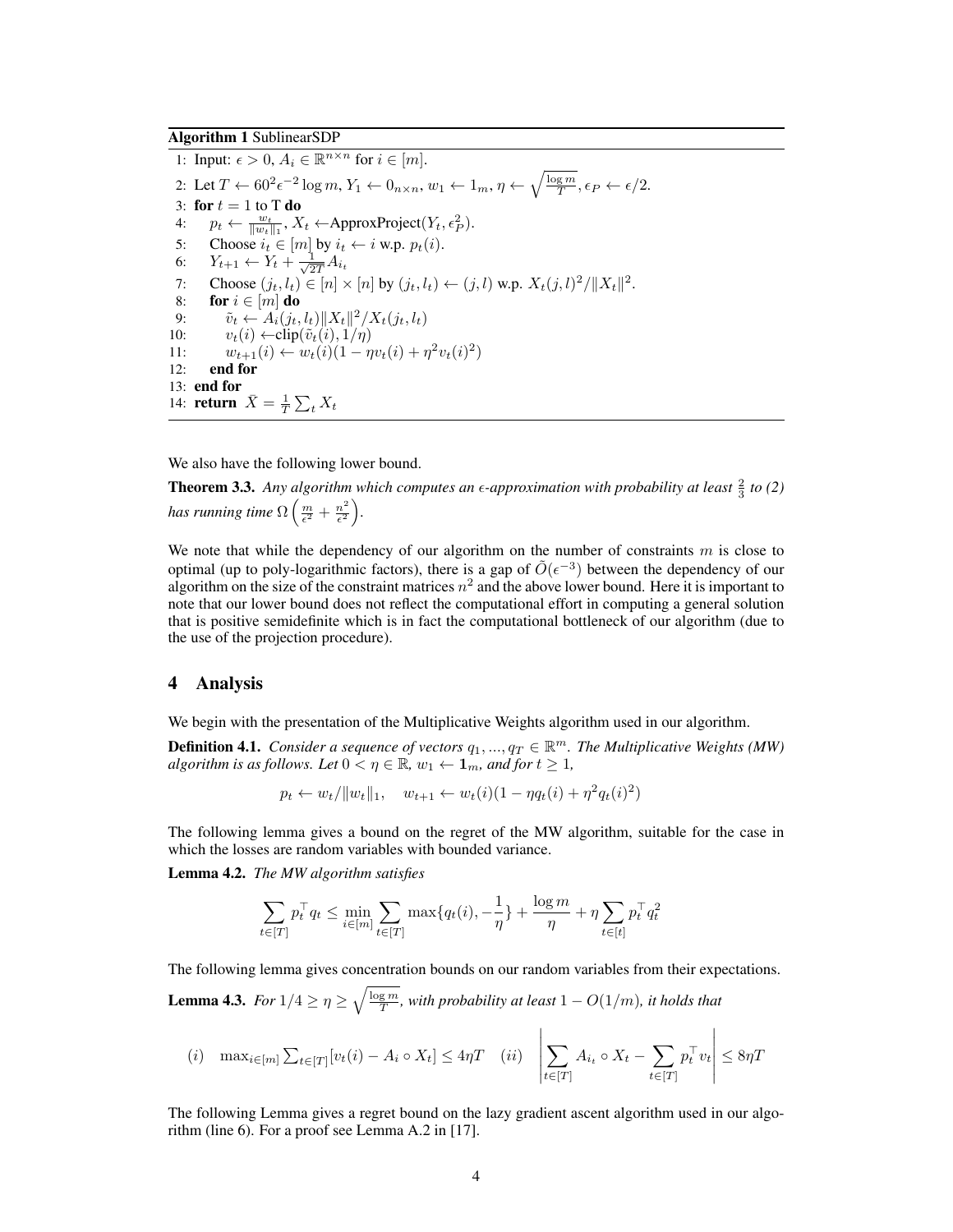## Algorithm 1 SublinearSDP

1: Input:  $\epsilon > 0$ ,  $A_i \in \mathbb{R}^{n \times n}$  for  $i \in [m]$ . 2: Let  $T \leftarrow 60^2 \epsilon^{-2} \log m$ ,  $Y_1 \leftarrow 0_{n \times n}$ ,  $w_1 \leftarrow 1_m$ ,  $\eta \leftarrow \sqrt{\frac{\log m}{T}}$ ,  $\epsilon_P \leftarrow \epsilon/2$ . 3: for  $t = 1$  to T do 4:  $p_t \leftarrow \frac{w_t}{\|w_t\|_1}, X_t \leftarrow \text{ApproxProject}(Y_t, \epsilon_P^2).$ 5: Choose  $i_t \in [m]$  by  $i_t \leftarrow i$  w.p.  $p_t(i)$ . 6:  $Y_{t+1} \leftarrow Y_t + \frac{1}{\sqrt{2}}$  $\frac{1}{2T}A_{i_t}$ 7: Choose  $(j_t, l_t) \in [n] \times [n]$  by  $(j_t, l_t) \leftarrow (j, l)$  w.p.  $X_t(j, l)^2 / ||X_t||^2$ . 8: for  $i \in [m]$  do 9:  $\tilde{v}_t \leftarrow A_i(j_t, l_t) \|X_t\|^2 / X_t(j_t, l_t)$ 10:  $v_t(i) \leftarrow \text{clip}(\tilde{v}_t(i), 1/\eta)$ 11:  $w_{t+1}(i) \leftarrow w_t(i)(1 - \eta v_t(i) + \eta^2 v_t(i)^2)$ 12: end for 13: end for 14: **return**  $\bar{X} = \frac{1}{T} \sum_t X_t$ 

We also have the following lower bound.

**Theorem 3.3.** Any algorithm which computes an  $\epsilon$ -approximation with probability at least  $\frac{2}{3}$  to (2) has running time  $\Omega\left(\frac{m}{\epsilon^2} + \frac{n^2}{\epsilon^2}\right)$  $\frac{n^2}{\epsilon^2}\bigg).$ 

We note that while the dependency of our algorithm on the number of constraints  $m$  is close to optimal (up to poly-logarithmic factors), there is a gap of  $\tilde{O}(\epsilon^{-3})$  between the dependency of our algorithm on the size of the constraint matrices  $n^2$  and the above lower bound. Here it is important to note that our lower bound does not reflect the computational effort in computing a general solution that is positive semidefinite which is in fact the computational bottleneck of our algorithm (due to the use of the projection procedure).

## 4 Analysis

We begin with the presentation of the Multiplicative Weights algorithm used in our algorithm.

**Definition 4.1.** *Consider a sequence of vectors*  $q_1, ..., q_T \in \mathbb{R}^m$ . The Multiplicative Weights (MW) *algorithm is as follows. Let*  $0 < \eta \in \mathbb{R}$ ,  $w_1 \leftarrow \mathbf{1}_m$ , and for  $t \geq 1$ ,

$$
p_t \leftarrow w_t / \|w_t\|_1, \quad w_{t+1} \leftarrow w_t(i)(1 - \eta q_t(i) + \eta^2 q_t(i)^2)
$$

The following lemma gives a bound on the regret of the MW algorithm, suitable for the case in which the losses are random variables with bounded variance.

Lemma 4.2. *The MW algorithm satisfies*

$$
\sum_{t \in [T]} p_t^\top q_t \leq \min_{i \in [m]} \sum_{t \in [T]} \max\{q_t(i), -\frac{1}{\eta}\} + \frac{\log m}{\eta} + \eta \sum_{t \in [t]} p_t^\top q_t^2
$$

The following lemma gives concentration bounds on our random variables from their expectations.

**Lemma 4.3.** For  $1/4 \ge \eta \ge \sqrt{\frac{\log m}{T}}$ , with probability at least  $1 - O(1/m)$ , it holds that

$$
(i) \quad \max_{i \in [m]} \sum_{t \in [T]} [v_t(i) - A_i \circ X_t] \le 4\eta T \quad (ii) \quad \left| \sum_{t \in [T]} A_{i_t} \circ X_t - \sum_{t \in [T]} p_t^T v_t \right| \le 8\eta T
$$

The following Lemma gives a regret bound on the lazy gradient ascent algorithm used in our algorithm (line 6). For a proof see Lemma A.2 in [17].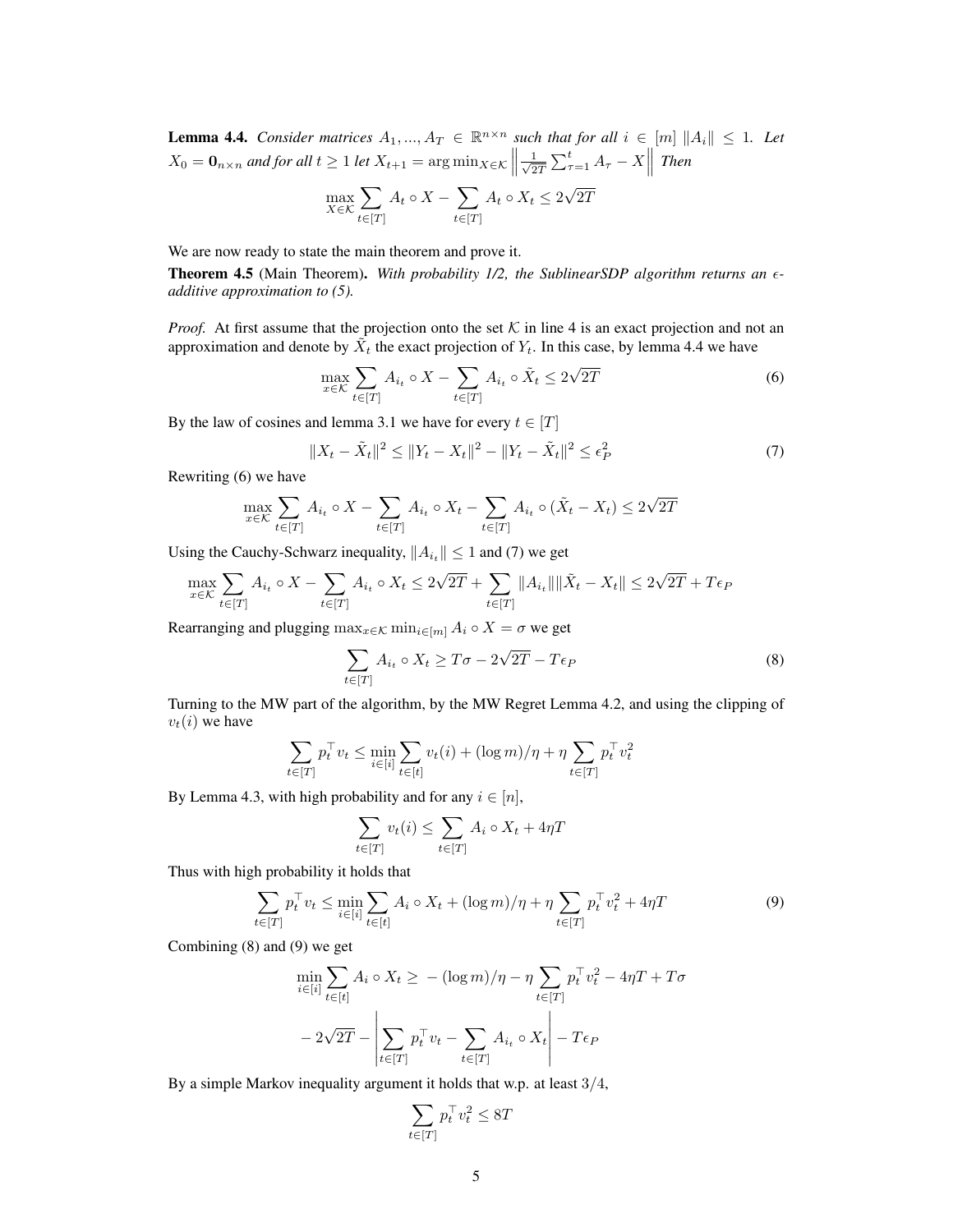**Lemma 4.4.** *Consider matrices*  $A_1, ..., A_T \in \mathbb{R}^{n \times n}$  *such that for all*  $i \in [m] \|A_i\| \leq 1$ *. Let*  $X_0 = \mathbf{0}_{n \times n}$  and for all  $t \geq 1$  let  $X_{t+1} = \arg \min_{X \in \mathcal{K}} \left\| \frac{1}{\sqrt{2}} \right\|$  $\frac{1}{2T} \sum_{\tau=1}^t A_{\tau} - X \parallel$  Then

$$
\max_{X \in \mathcal{K}} \sum_{t \in [T]} A_t \circ X - \sum_{t \in [T]} A_t \circ X_t \le 2\sqrt{2T}
$$

We are now ready to state the main theorem and prove it.

Theorem 4.5 (Main Theorem). *With probability 1/2, the SublinearSDP algorithm returns an additive approximation to (5).*

*Proof.* At first assume that the projection onto the set  $K$  in line 4 is an exact projection and not an approximation and denote by  $\tilde{X}_t$  the exact projection of  $Y_t$ . In this case, by lemma 4.4 we have

$$
\max_{x \in \mathcal{K}} \sum_{t \in [T]} A_{i_t} \circ X - \sum_{t \in [T]} A_{i_t} \circ \tilde{X}_t \le 2\sqrt{2T} \tag{6}
$$

By the law of cosines and lemma 3.1 we have for every  $t \in [T]$ 

$$
||X_t - \tilde{X}_t||^2 \le ||Y_t - X_t||^2 - ||Y_t - \tilde{X}_t||^2 \le \epsilon_P^2
$$
\n(7)

Rewriting (6) we have

$$
\max_{x \in \mathcal{K}} \sum_{t \in [T]} A_{i_t} \circ X - \sum_{t \in [T]} A_{i_t} \circ X_t - \sum_{t \in [T]} A_{i_t} \circ (\tilde{X}_t - X_t) \le 2\sqrt{2T}
$$

Using the Cauchy-Schwarz inequality,  $||A_{i_t}|| \leq 1$  and (7) we get

$$
\max_{x\in\mathcal{K}}\sum_{t\in[T]}A_{i_t}\circ X-\sum_{t\in[T]}A_{i_t}\circ X_t\leq 2\sqrt{2T}+\sum_{t\in[T]}\|A_{i_t}\|\|\tilde{X}_t-X_t\|\leq 2\sqrt{2T}+T\epsilon_P
$$

Rearranging and plugging  $\max_{x \in \mathcal{K}} \min_{i \in [m]} A_i \circ X = \sigma$  we get

$$
\sum_{t \in [T]} A_{i_t} \circ X_t \ge T\sigma - 2\sqrt{2T} - T\epsilon_P \tag{8}
$$

Turning to the MW part of the algorithm, by the MW Regret Lemma 4.2, and using the clipping of  $v_t(i)$  we have

$$
\sum_{t \in [T]} p_t^{\top} v_t \le \min_{i \in [i]} \sum_{t \in [t]} v_t(i) + (\log m) / \eta + \eta \sum_{t \in [T]} p_t^{\top} v_t^2
$$

By Lemma 4.3, with high probability and for any  $i \in [n]$ ,

$$
\sum_{t \in [T]} v_t(i) \le \sum_{t \in [T]} A_i \circ X_t + 4\eta T
$$

Thus with high probability it holds that

$$
\sum_{t \in [T]} p_t^\top v_t \le \min_{i \in [i]} \sum_{t \in [t]} A_i \circ X_t + (\log m) / \eta + \eta \sum_{t \in [T]} p_t^\top v_t^2 + 4\eta T \tag{9}
$$

Combining (8) and (9) we get

$$
\min_{i \in [i]} \sum_{t \in [t]} A_i \circ X_t \ge -(\log m)/\eta - \eta \sum_{t \in [T]} p_t^{\top} v_t^2 - 4\eta T + T\sigma
$$

$$
-2\sqrt{2T} - \left| \sum_{t \in [T]} p_t^{\top} v_t - \sum_{t \in [T]} A_{i_t} \circ X_t \right| - T\epsilon_P
$$

By a simple Markov inequality argument it holds that w.p. at least  $3/4$ ,

$$
\sum_{t \in [T]} p_t^\top v_t^2 \leq 8T
$$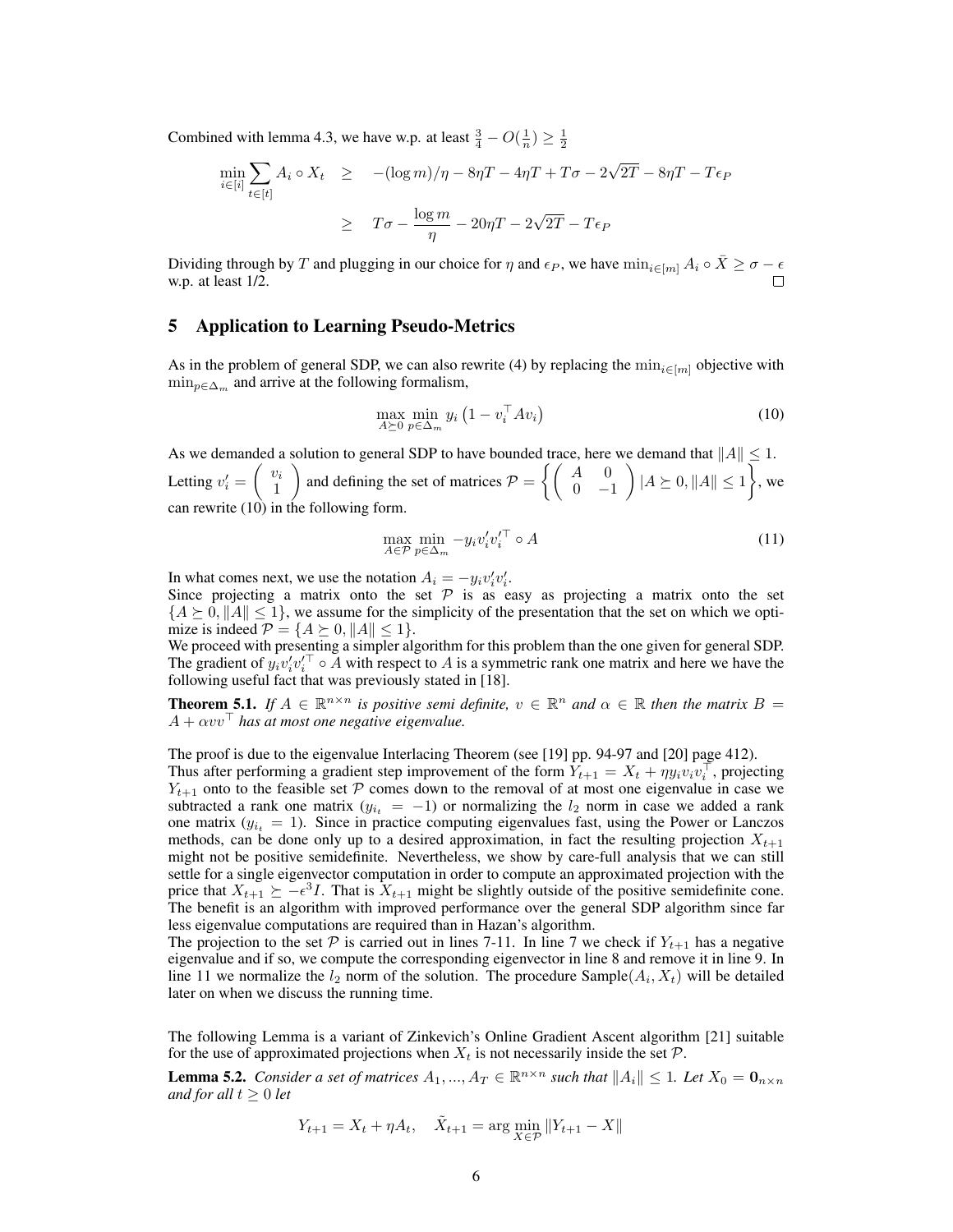Combined with lemma 4.3, we have w.p. at least  $\frac{3}{4} - O(\frac{1}{n}) \ge \frac{1}{2}$ 

$$
\min_{i \in [i]} \sum_{t \in [t]} A_i \circ X_t \ge -(\log m)/\eta - 8\eta T - 4\eta T + T\sigma - 2\sqrt{2T} - 8\eta T - T\epsilon_P
$$
  

$$
\ge T\sigma - \frac{\log m}{\eta} - 20\eta T - 2\sqrt{2T} - T\epsilon_P
$$

Dividing through by T and plugging in our choice for  $\eta$  and  $\epsilon_P$ , we have  $\min_{i\in[m]} A_i \circ \overline{X} \geq \sigma - \epsilon$ w.p. at least 1/2.

## 5 Application to Learning Pseudo-Metrics

As in the problem of general SDP, we can also rewrite (4) by replacing the  $\min_{i \in [m]}$  objective with  $\min_{p \in \Delta_m}$  and arrive at the following formalism,

$$
\max_{A \succeq 0} \min_{p \in \Delta_m} y_i \left( 1 - v_i^\top A v_i \right) \tag{10}
$$

As we demanded a solution to general SDP to have bounded trace, here we demand that  $||A|| \leq 1$ . Letting  $v'_i = \begin{pmatrix} v_i \\ 1 \end{pmatrix}$ 1 ) and defining the set of matrices  $P = \begin{cases} \begin{pmatrix} A & 0 \\ 0 & A \end{pmatrix} \end{cases}$  $0 -1$  $\Big\{ |A \succeq 0, ||A|| \leq 1 \Big\}$ , we can rewrite (10) in the following form.

$$
\max_{A \in \mathcal{P}} \min_{p \in \Delta_m} -y_i v'_i v'_i \circ A \tag{11}
$$

In what comes next, we use the notation  $A_i = -y_i v'_i v'_i$ .

Since projecting a matrix onto the set  $P$  is as easy as projecting a matrix onto the set  ${A \succeq 0, \|A\| \leq 1}$ , we assume for the simplicity of the presentation that the set on which we optimize is indeed  $P = \{A \succeq 0, ||A|| \leq 1\}.$ 

We proceed with presenting a simpler algorithm for this problem than the one given for general SDP. The gradient of  $y_i v'_i v'_i^{\top} \circ A$  with respect to A is a symmetric rank one matrix and here we have the following useful fact that was previously stated in [18].

**Theorem 5.1.** If  $A \in \mathbb{R}^{n \times n}$  is positive semi definite,  $v \in \mathbb{R}^n$  and  $\alpha \in \mathbb{R}$  then the matrix  $B =$  $A + \alpha v v^{\top}$  has at most one negative eigenvalue.

The proof is due to the eigenvalue Interlacing Theorem (see [19] pp. 94-97 and [20] page 412).

Thus after performing a gradient step improvement of the form  $\hat{Y}_{t+1} = X_t + \eta y_i v_i v_i^{\top}$ , projecting  $Y_{t+1}$  onto to the feasible set P comes down to the removal of at most one eigenvalue in case we subtracted a rank one matrix ( $y_{i_t} = -1$ ) or normalizing the  $l_2$  norm in case we added a rank one matrix  $(y_{i_t} = 1)$ . Since in practice computing eigenvalues fast, using the Power or Lanczos methods, can be done only up to a desired approximation, in fact the resulting projection  $X_{t+1}$ might not be positive semidefinite. Nevertheless, we show by care-full analysis that we can still settle for a single eigenvector computation in order to compute an approximated projection with the price that  $X_{t+1} \succeq -\epsilon^3 I$ . That is  $X_{t+1}$  might be slightly outside of the positive semidefinite cone. The benefit is an algorithm with improved performance over the general SDP algorithm since far less eigenvalue computations are required than in Hazan's algorithm.

The projection to the set P is carried out in lines 7-11. In line 7 we check if  $Y_{t+1}$  has a negative eigenvalue and if so, we compute the corresponding eigenvector in line 8 and remove it in line 9. In line 11 we normalize the  $l_2$  norm of the solution. The procedure Sample $(A_i, X_t)$  will be detailed later on when we discuss the running time.

The following Lemma is a variant of Zinkevich's Online Gradient Ascent algorithm [21] suitable for the use of approximated projections when  $X_t$  is not necessarily inside the set  $\mathcal{P}$ .

**Lemma 5.2.** *Consider a set of matrices*  $A_1, ..., A_T \in \mathbb{R}^{n \times n}$  *such that*  $||A_i|| \leq 1$ *. Let*  $X_0 = \mathbf{0}_{n \times n}$ *and for all*  $t \geq 0$  *let* 

$$
Y_{t+1} = X_t + \eta A_t, \quad \tilde{X}_{t+1} = \arg\min_{X \in \mathcal{P}} \|Y_{t+1} - X\|
$$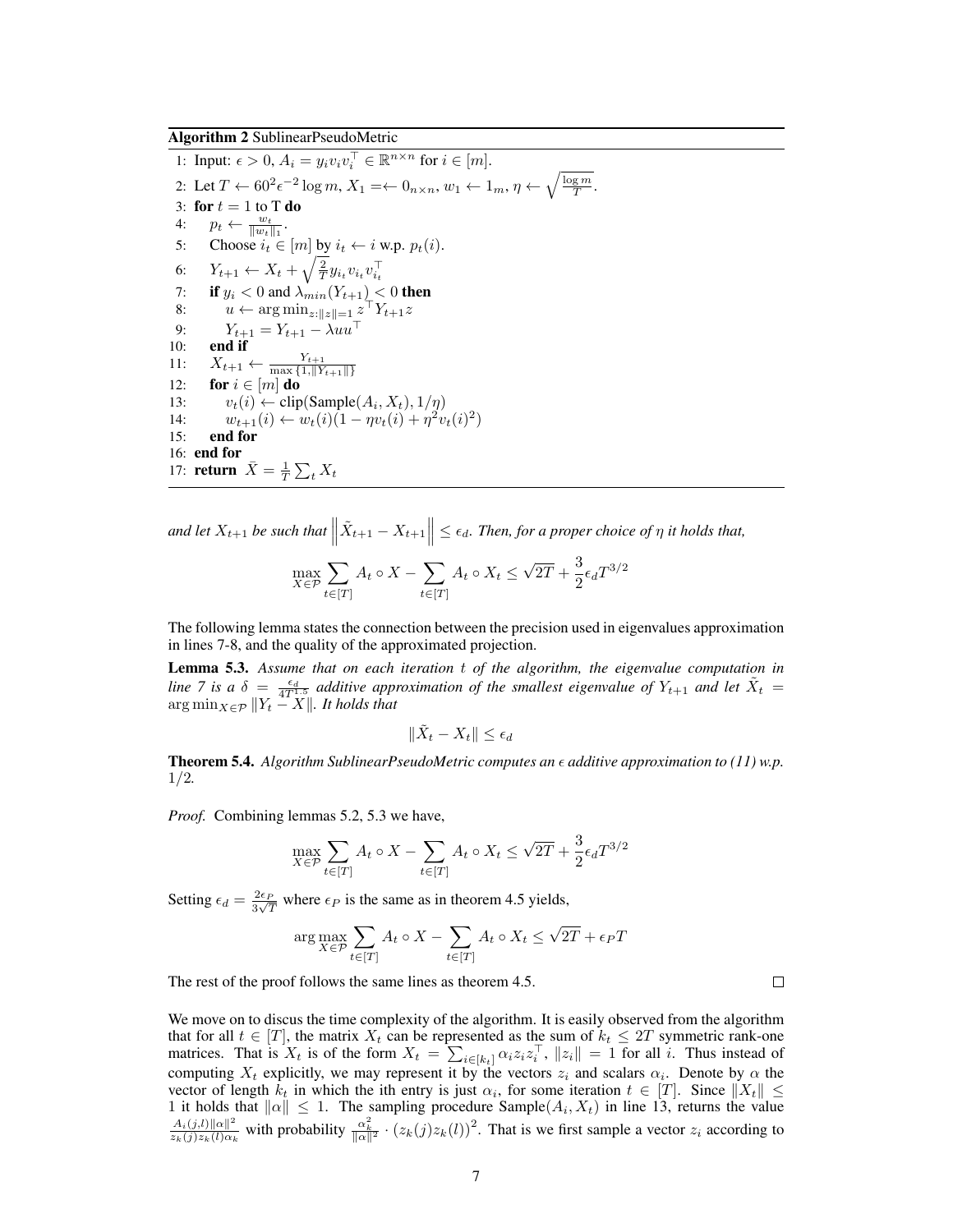Algorithm 2 SublinearPseudoMetric

1: Input:  $\epsilon > 0$ ,  $A_i = y_i v_i v_i^{\top} \in \mathbb{R}^{n \times n}$  for  $i \in [m]$ . 2: Let  $T \leftarrow 60^2 \epsilon^{-2} \log m$ ,  $X_1 = \leftarrow 0_{n \times n}$ ,  $w_1 \leftarrow 1_m$ ,  $\eta \leftarrow \sqrt{\frac{\log m}{T}}$ . 3: for  $t = 1$  to T do 4:  $p_t \leftarrow \frac{w_t}{\|w_t\|_1}.$ 5: Choose  $i_t \in [m]$  by  $i_t \leftarrow i$  w.p.  $p_t(i)$ . 6:  $Y_{t+1} \leftarrow X_t + \sqrt{\frac{2}{T}} y_{i_t} v_{i_t} v_{i_t}^{\top}$ 7: if  $y_i < 0$  and  $\lambda_{min}(Y_{t+1}) < 0$  then 8:  $u \leftarrow \arg \min_{z: ||z|| = 1} z^\top Y_{t+1} z$ 9:  $Y_{t+1} = Y_{t+1} - \lambda uu^\top$ 10: end if 11:  $X_{t+1} \leftarrow \frac{Y_{t+1}}{\max\{1, \|Y_{t+1}\|\}}$ <br>12: **for**  $i \in [m]$  **do** 13:  $v_t(i) \leftarrow \text{clip}(\text{Sample}(A_i, X_t), 1/\eta)$ 14:  $w_{t+1}(i) \leftarrow w_t(i) (1 - \eta v_t(i) + \eta^2 v_t(i)^2)$ 15: end for 16: end for 17: **return**  $\bar{X} = \frac{1}{T} \sum_t X_t$ 

and let  $X_{t+1}$  be such that  $\left\|\tilde{X}_{t+1}-X_{t+1}\right\| \leq \epsilon_d$ . Then, for a proper choice of  $\eta$  it holds that,

$$
\max_{X \in \mathcal{P}} \sum_{t \in [T]} A_t \circ X - \sum_{t \in [T]} A_t \circ X_t \le \sqrt{2T} + \frac{3}{2} \epsilon_d T^{3/2}
$$

The following lemma states the connection between the precision used in eigenvalues approximation in lines 7-8, and the quality of the approximated projection.

Lemma 5.3. *Assume that on each iteration* t *of the algorithm, the eigenvalue computation in line* 7 is a  $\delta = \frac{\epsilon_d}{4T^{1.5}}$  additive approximation of the smallest eigenvalue of  $Y_{t+1}$  and let  $\tilde{X}_t$  $\arg \min_{X \in \mathcal{P}} \|Y_t - X\|$ *. It holds that* 

$$
\|\tilde{X}_t - X_t\| \le \epsilon_d
$$

**Theorem 5.4.** *Algorithm SublinearPseudoMetric computes an*  $\epsilon$  *additive approximation to (11) w.p.* 1/2*.*

*Proof.* Combining lemmas 5.2, 5.3 we have,

$$
\max_{X \in \mathcal{P}} \sum_{t \in [T]} A_t \circ X - \sum_{t \in [T]} A_t \circ X_t \le \sqrt{2T} + \frac{3}{2} \epsilon_d T^{3/2}
$$

Setting  $\epsilon_d = \frac{2\epsilon_P}{3\sqrt{2}}$  $\frac{2\epsilon_P}{3\sqrt{T}}$  where  $\epsilon_P$  is the same as in theorem 4.5 yields,

$$
\arg \max_{X \in \mathcal{P}} \sum_{t \in [T]} A_t \circ X - \sum_{t \in [T]} A_t \circ X_t \le \sqrt{2T} + \epsilon_P T
$$

The rest of the proof follows the same lines as theorem 4.5.

We move on to discus the time complexity of the algorithm. It is easily observed from the algorithm that for all  $t \in [T]$ , the matrix  $X_t$  can be represented as the sum of  $k_t \leq 2T$  symmetric rank-one matrices. That is  $X_t$  is of the form  $X_t = \sum_{i \in [k_t]} \alpha_i z_i z_i^{\top}$ ,  $||z_i|| = 1$  for all i. Thus instead of computing  $X_t$  explicitly, we may represent it by the vectors  $z_i$  and scalars  $\alpha_i$ . Denote by  $\alpha$  the vector of length  $k_t$  in which the ith entry is just  $\alpha_i$ , for some iteration  $t \in [T]$ . Since  $||X_t|| \le$ 1 it holds that  $\|\alpha\| \leq 1$ . The sampling procedure Sample $(A_i, X_t)$  in line 13, returns the value  $A_i(j,l)\|\alpha\|^2$  $\frac{A_i(j,l)\| \alpha\|^2}{z_k(j)z_k(l)\alpha_k}$  with probability  $\frac{\alpha_k^2}{\| \alpha\|^2} \cdot (z_k(j)z_k(l))^2$ . That is we first sample a vector  $z_i$  according to

 $\Box$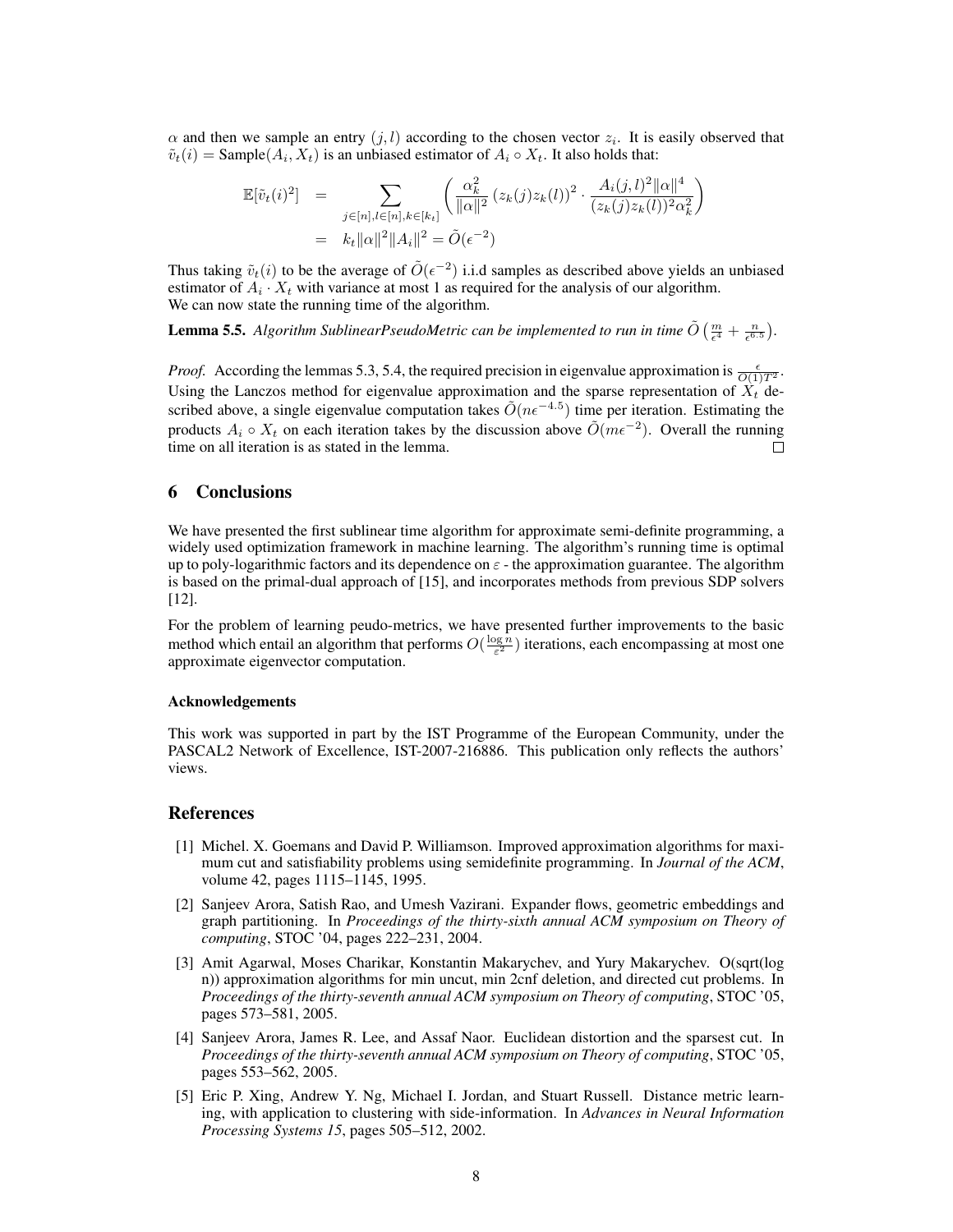$\alpha$  and then we sample an entry  $(j, l)$  according to the chosen vector  $z_i$ . It is easily observed that  $\tilde{v}_t(i) = \text{Sample}(A_i, X_t)$  is an unbiased estimator of  $A_i \circ X_t$ . It also holds that:

$$
\mathbb{E}[\tilde{v}_t(i)^2] = \sum_{j \in [n], l \in [n], k \in [k_t]} \left( \frac{\alpha_k^2}{\|\alpha\|^2} (z_k(j)z_k(l))^2 \cdot \frac{A_i(j,l)^2 \|\alpha\|^4}{(z_k(j)z_k(l))^2 \alpha_k^2} \right)
$$
  
=  $k_t \|\alpha\|^2 \|\mathbf{A}_i\|^2 = \tilde{O}(\epsilon^{-2})$ 

Thus taking  $\tilde{v}_t(i)$  to be the average of  $\tilde{O}(\epsilon^{-2})$  i.i.d samples as described above yields an unbiased estimator of  $A_i \cdot X_t$  with variance at most 1 as required for the analysis of our algorithm. We can now state the running time of the algorithm.

**Lemma 5.5.** Algorithm SublinearPseudoMetric can be implemented to run in time  $\tilde{O}\left(\frac{m}{\epsilon^4}+\frac{n}{\epsilon^{6.5}}\right)$ .

*Proof.* According the lemmas 5.3, 5.4, the required precision in eigenvalue approximation is  $\frac{\epsilon}{O(1)T^2}$ . Using the Lanczos method for eigenvalue approximation and the sparse representation of  $X_t$  described above, a single eigenvalue computation takes  $\tilde{O}(n\epsilon^{-4.5})$  time per iteration. Estimating the products  $A_i \circ X_t$  on each iteration takes by the discussion above  $\tilde{O}(m\epsilon^{-2})$ . Overall the running time on all iteration is as stated in the lemma.

## 6 Conclusions

We have presented the first sublinear time algorithm for approximate semi-definite programming, a widely used optimization framework in machine learning. The algorithm's running time is optimal up to poly-logarithmic factors and its dependence on  $\varepsilon$  - the approximation guarantee. The algorithm is based on the primal-dual approach of [15], and incorporates methods from previous SDP solvers [12].

For the problem of learning peudo-metrics, we have presented further improvements to the basic method which entail an algorithm that performs  $O(\frac{\log n}{\epsilon^2})$  iterations, each encompassing at most one approximate eigenvector computation.

#### Acknowledgements

This work was supported in part by the IST Programme of the European Community, under the PASCAL2 Network of Excellence, IST-2007-216886. This publication only reflects the authors' views.

## References

- [1] Michel. X. Goemans and David P. Williamson. Improved approximation algorithms for maximum cut and satisfiability problems using semidefinite programming. In *Journal of the ACM*, volume 42, pages 1115–1145, 1995.
- [2] Sanjeev Arora, Satish Rao, and Umesh Vazirani. Expander flows, geometric embeddings and graph partitioning. In *Proceedings of the thirty-sixth annual ACM symposium on Theory of computing*, STOC '04, pages 222–231, 2004.
- [3] Amit Agarwal, Moses Charikar, Konstantin Makarychev, and Yury Makarychev. O(sqrt(log n)) approximation algorithms for min uncut, min 2cnf deletion, and directed cut problems. In *Proceedings of the thirty-seventh annual ACM symposium on Theory of computing*, STOC '05, pages 573–581, 2005.
- [4] Sanjeev Arora, James R. Lee, and Assaf Naor. Euclidean distortion and the sparsest cut. In *Proceedings of the thirty-seventh annual ACM symposium on Theory of computing*, STOC '05, pages 553–562, 2005.
- [5] Eric P. Xing, Andrew Y. Ng, Michael I. Jordan, and Stuart Russell. Distance metric learning, with application to clustering with side-information. In *Advances in Neural Information Processing Systems 15*, pages 505–512, 2002.